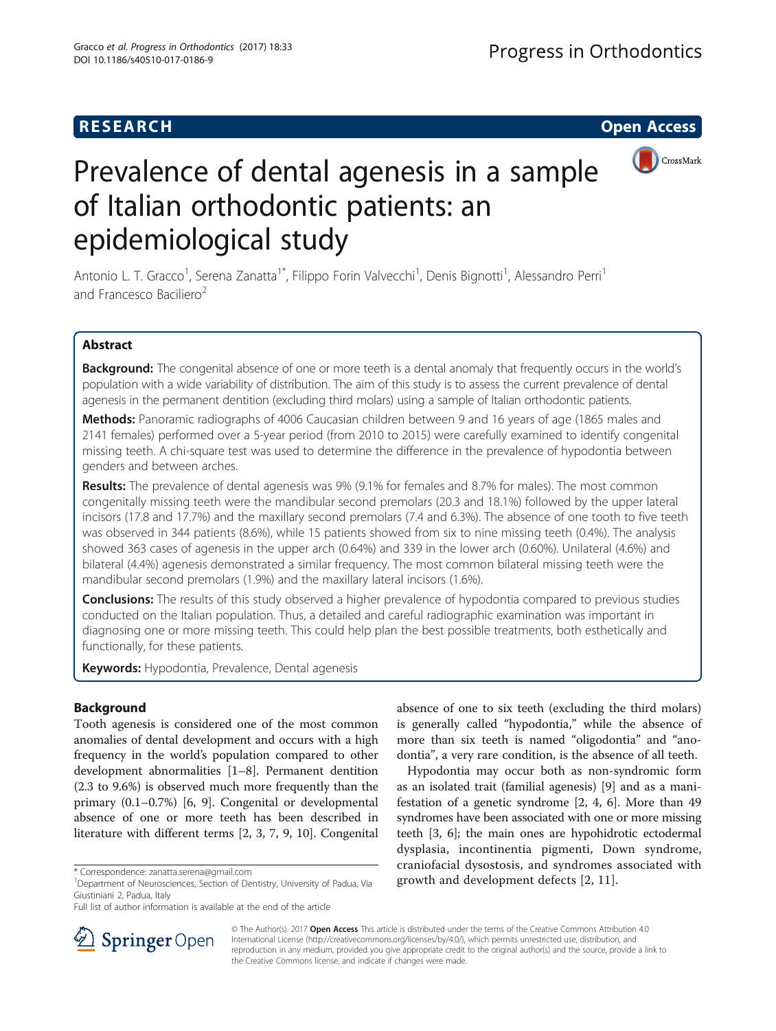## **RESEARCH CHE Open Access**



# Prevalence of dental agenesis in a sample of Italian orthodontic patients: an epidemiological study

Antonio L. T. Gracco<sup>1</sup>, Serena Zanatta<sup>1\*</sup>, Filippo Forin Valvecchi<sup>1</sup>, Denis Bignotti<sup>1</sup>, Alessandro Perri<sup>1</sup> and Francesco Baciliero<sup>2</sup>

## Abstract

Background: The congenital absence of one or more teeth is a dental anomaly that frequently occurs in the world's population with a wide variability of distribution. The aim of this study is to assess the current prevalence of dental agenesis in the permanent dentition (excluding third molars) using a sample of Italian orthodontic patients.

Methods: Panoramic radiographs of 4006 Caucasian children between 9 and 16 years of age (1865 males and 2141 females) performed over a 5-year period (from 2010 to 2015) were carefully examined to identify congenital missing teeth. A chi-square test was used to determine the difference in the prevalence of hypodontia between genders and between arches.

Results: The prevalence of dental agenesis was 9% (9.1% for females and 8.7% for males). The most common congenitally missing teeth were the mandibular second premolars (20.3 and 18.1%) followed by the upper lateral incisors (17.8 and 17.7%) and the maxillary second premolars (7.4 and 6.3%). The absence of one tooth to five teeth was observed in 344 patients (8.6%), while 15 patients showed from six to nine missing teeth (0.4%). The analysis showed 363 cases of agenesis in the upper arch (0.64%) and 339 in the lower arch (0.60%). Unilateral (4.6%) and bilateral (4.4%) agenesis demonstrated a similar frequency. The most common bilateral missing teeth were the mandibular second premolars (1.9%) and the maxillary lateral incisors (1.6%).

**Conclusions:** The results of this study observed a higher prevalence of hypodontia compared to previous studies conducted on the Italian population. Thus, a detailed and careful radiographic examination was important in diagnosing one or more missing teeth. This could help plan the best possible treatments, both esthetically and functionally, for these patients.

Keywords: Hypodontia, Prevalence, Dental agenesis

## Background

Tooth agenesis is considered one of the most common anomalies of dental development and occurs with a high frequency in the world's population compared to other development abnormalities [[1](#page-5-0)–[8\]](#page-6-0). Permanent dentition (2.3 to 9.6%) is observed much more frequently than the primary (0.1–0.7%) [\[6](#page-6-0), [9\]](#page-6-0). Congenital or developmental absence of one or more teeth has been described in literature with different terms [\[2](#page-5-0), [3](#page-5-0), [7, 9](#page-6-0), [10](#page-6-0)]. Congenital

absence of one to six teeth (excluding the third molars) is generally called "hypodontia," while the absence of more than six teeth is named "oligodontia" and "anodontia", a very rare condition, is the absence of all teeth.

Hypodontia may occur both as non-syndromic form as an isolated trait (familial agenesis) [[9\]](#page-6-0) and as a manifestation of a genetic syndrome [\[2,](#page-5-0) [4, 6\]](#page-6-0). More than 49 syndromes have been associated with one or more missing teeth [\[3](#page-5-0), [6](#page-6-0)]; the main ones are hypohidrotic ectodermal dysplasia, incontinentia pigmenti, Down syndrome, craniofacial dysostosis, and syndromes associated with \* Correspondence: [zanatta.serena@gmail.com](mailto:zanatta.serena@gmail.com)<br><sup>1</sup>Department of Neurosciences, Section of Dentistry, University of Padua, Via **1898** growth and development defects [[2,](#page-5-0) [11](#page-6-0)].



© The Author(s). 2017 **Open Access** This article is distributed under the terms of the Creative Commons Attribution 4.0 International License ([http://creativecommons.org/licenses/by/4.0/\)](http://creativecommons.org/licenses/by/4.0/), which permits unrestricted use, distribution, and reproduction in any medium, provided you give appropriate credit to the original author(s) and the source, provide a link to the Creative Commons license, and indicate if changes were made.

Giustiniani 2, Padua, Italy

Full list of author information is available at the end of the article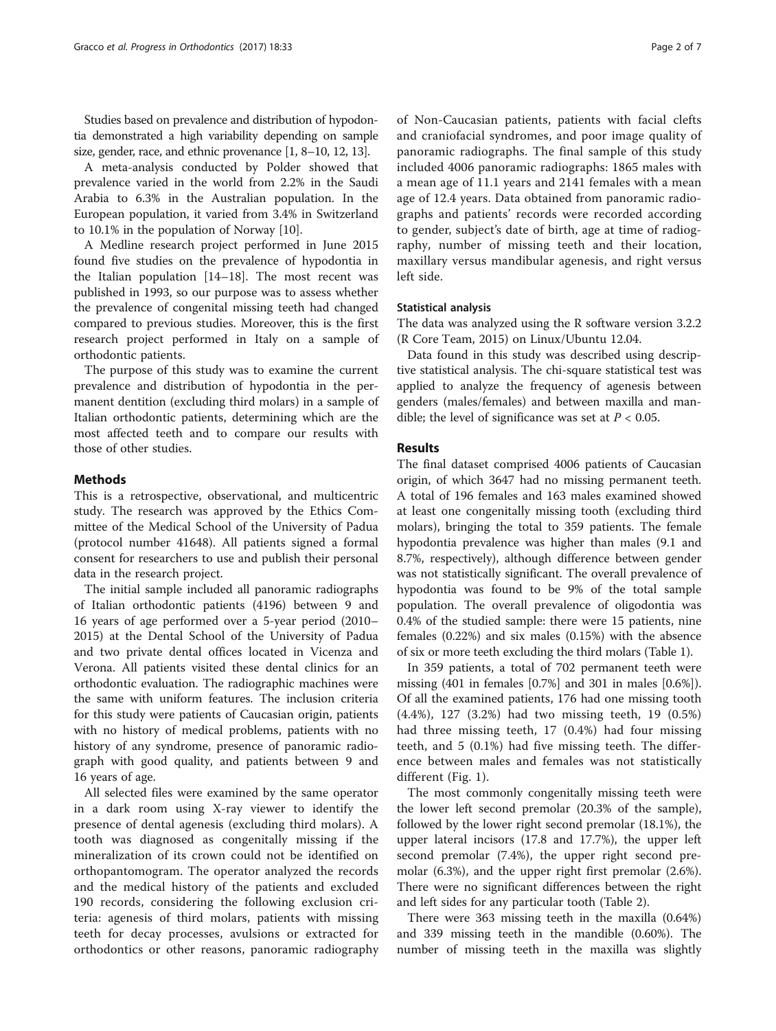Studies based on prevalence and distribution of hypodontia demonstrated a high variability depending on sample size, gender, race, and ethnic provenance [[1](#page-5-0), [8](#page-6-0)–[10](#page-6-0), [12](#page-6-0), [13](#page-6-0)].

A meta-analysis conducted by Polder showed that prevalence varied in the world from 2.2% in the Saudi Arabia to 6.3% in the Australian population. In the European population, it varied from 3.4% in Switzerland to 10.1% in the population of Norway [\[10](#page-6-0)].

A Medline research project performed in June 2015 found five studies on the prevalence of hypodontia in the Italian population [[14](#page-6-0)–[18](#page-6-0)]. The most recent was published in 1993, so our purpose was to assess whether the prevalence of congenital missing teeth had changed compared to previous studies. Moreover, this is the first research project performed in Italy on a sample of orthodontic patients.

The purpose of this study was to examine the current prevalence and distribution of hypodontia in the permanent dentition (excluding third molars) in a sample of Italian orthodontic patients, determining which are the most affected teeth and to compare our results with those of other studies.

## **Methods**

This is a retrospective, observational, and multicentric study. The research was approved by the Ethics Committee of the Medical School of the University of Padua (protocol number 41648). All patients signed a formal consent for researchers to use and publish their personal data in the research project.

The initial sample included all panoramic radiographs of Italian orthodontic patients (4196) between 9 and 16 years of age performed over a 5-year period (2010– 2015) at the Dental School of the University of Padua and two private dental offices located in Vicenza and Verona. All patients visited these dental clinics for an orthodontic evaluation. The radiographic machines were the same with uniform features. The inclusion criteria for this study were patients of Caucasian origin, patients with no history of medical problems, patients with no history of any syndrome, presence of panoramic radiograph with good quality, and patients between 9 and 16 years of age.

All selected files were examined by the same operator in a dark room using X-ray viewer to identify the presence of dental agenesis (excluding third molars). A tooth was diagnosed as congenitally missing if the mineralization of its crown could not be identified on orthopantomogram. The operator analyzed the records and the medical history of the patients and excluded 190 records, considering the following exclusion criteria: agenesis of third molars, patients with missing teeth for decay processes, avulsions or extracted for orthodontics or other reasons, panoramic radiography

of Non-Caucasian patients, patients with facial clefts and craniofacial syndromes, and poor image quality of panoramic radiographs. The final sample of this study included 4006 panoramic radiographs: 1865 males with a mean age of 11.1 years and 2141 females with a mean age of 12.4 years. Data obtained from panoramic radiographs and patients' records were recorded according to gender, subject's date of birth, age at time of radiography, number of missing teeth and their location, maxillary versus mandibular agenesis, and right versus left side.

## Statistical analysis

The data was analyzed using the R software version 3.2.2 (R Core Team, 2015) on Linux/Ubuntu 12.04.

Data found in this study was described using descriptive statistical analysis. The chi-square statistical test was applied to analyze the frequency of agenesis between genders (males/females) and between maxilla and mandible; the level of significance was set at  $P < 0.05$ .

## Results

The final dataset comprised 4006 patients of Caucasian origin, of which 3647 had no missing permanent teeth. A total of 196 females and 163 males examined showed at least one congenitally missing tooth (excluding third molars), bringing the total to 359 patients. The female hypodontia prevalence was higher than males (9.1 and 8.7%, respectively), although difference between gender was not statistically significant. The overall prevalence of hypodontia was found to be 9% of the total sample population. The overall prevalence of oligodontia was 0.4% of the studied sample: there were 15 patients, nine females (0.22%) and six males (0.15%) with the absence of six or more teeth excluding the third molars (Table [1\)](#page-2-0).

In 359 patients, a total of 702 permanent teeth were missing (401 in females [0.7%] and 301 in males [0.6%]). Of all the examined patients, 176 had one missing tooth (4.4%), 127 (3.2%) had two missing teeth, 19 (0.5%) had three missing teeth, 17 (0.4%) had four missing teeth, and 5 (0.1%) had five missing teeth. The difference between males and females was not statistically different (Fig. [1](#page-2-0)).

The most commonly congenitally missing teeth were the lower left second premolar (20.3% of the sample), followed by the lower right second premolar (18.1%), the upper lateral incisors (17.8 and 17.7%), the upper left second premolar (7.4%), the upper right second premolar (6.3%), and the upper right first premolar (2.6%). There were no significant differences between the right and left sides for any particular tooth (Table [2\)](#page-3-0).

There were 363 missing teeth in the maxilla (0.64%) and 339 missing teeth in the mandible (0.60%). The number of missing teeth in the maxilla was slightly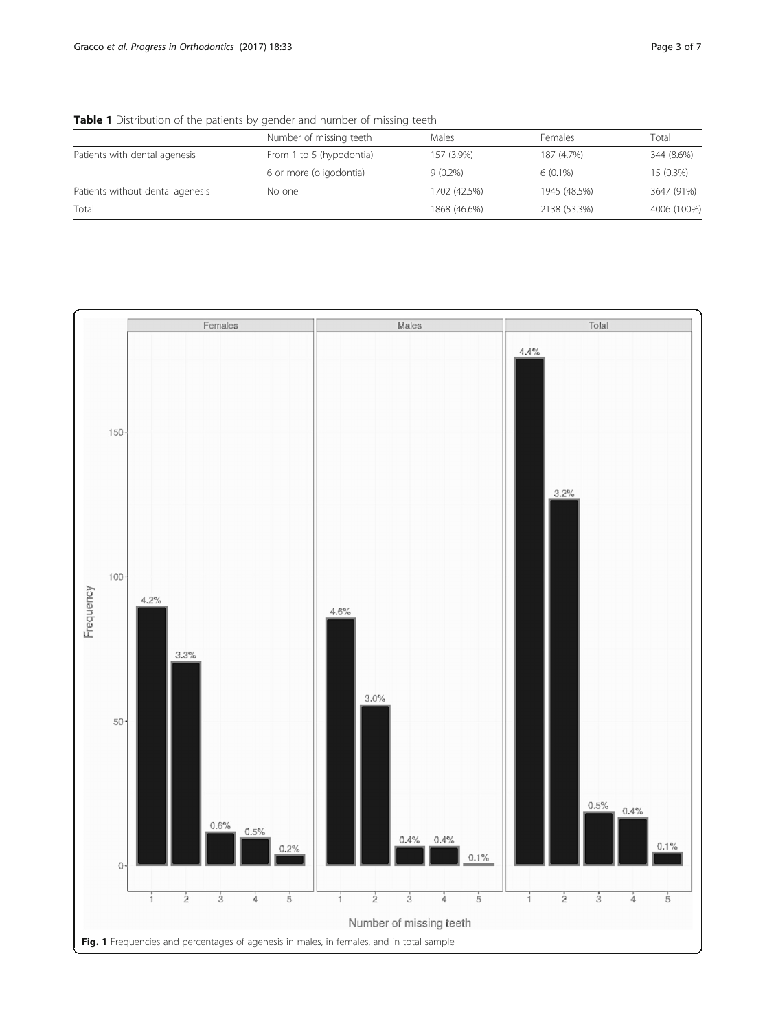<span id="page-2-0"></span>Table 1 Distribution of the patients by gender and number of missing teeth

|                                  | Number of missing teeth  | Males        | <b>Females</b> | Total       |
|----------------------------------|--------------------------|--------------|----------------|-------------|
| Patients with dental agenesis    | From 1 to 5 (hypodontia) | 157 (3.9%)   | 187 (4.7%)     | 344 (8.6%)  |
|                                  | 6 or more (oligodontia)  | $9(0.2\%)$   | $6(0.1\%)$     | 15 (0.3%)   |
| Patients without dental agenesis | No one                   | 1702 (42.5%) | 1945 (48.5%)   | 3647 (91%)  |
| Total                            |                          | 1868 (46.6%) | 2138 (53.3%)   | 4006 (100%) |

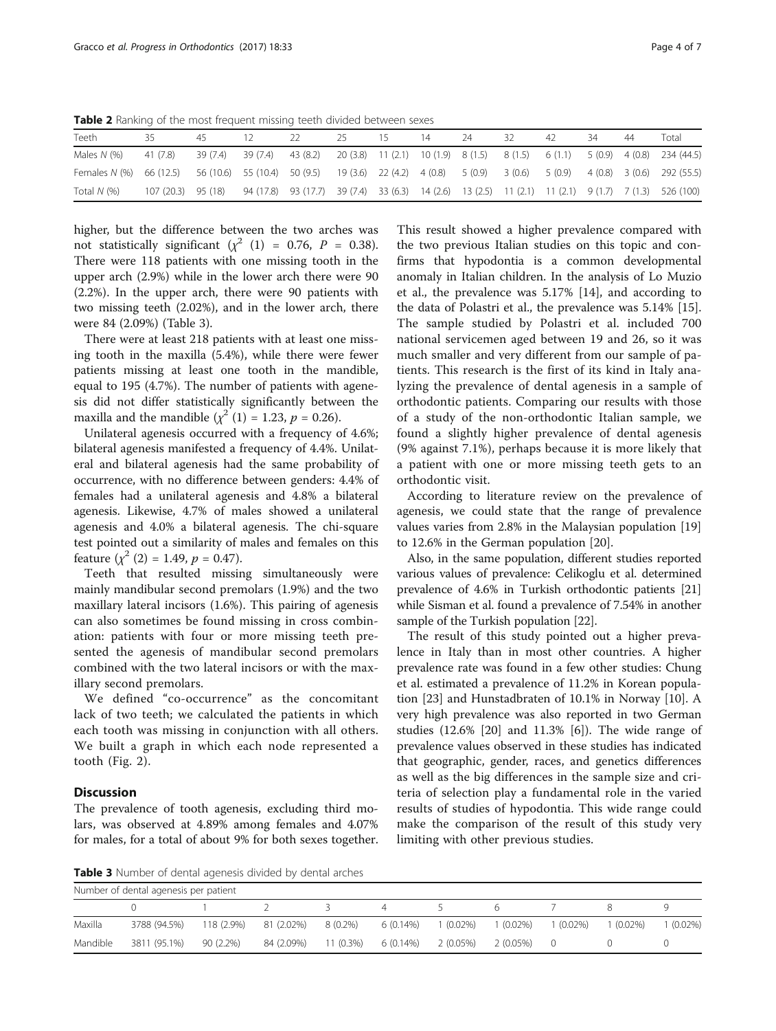<span id="page-3-0"></span>Table 2 Ranking of the most frequent missing teeth divided between sexes

| Teeth                                                                                                                             |                    | 45 |                   |                                                                                                     | 25 | ۱5. | 14 | 24 | 32 | 42 | -34 | 44 | Total                                                                                  |
|-----------------------------------------------------------------------------------------------------------------------------------|--------------------|----|-------------------|-----------------------------------------------------------------------------------------------------|----|-----|----|----|----|----|-----|----|----------------------------------------------------------------------------------------|
| Males $N$ $(\%)$                                                                                                                  | 41 (7.8)           |    | 39 (7.4) 39 (7.4) |                                                                                                     |    |     |    |    |    |    |     |    | 43 (8.2) 20 (3.8) 11 (2.1) 10 (1.9) 8 (1.5) 8 (1.5) 6 (1.1) 5 (0.9) 4 (0.8) 234 (44.5) |
| Females N (%) 66 (12.5) 56 (10.6) 55 (10.4) 50 (9.5) 19 (3.6) 22 (4.2) 4 (0.8) 5 (0.9) 3 (0.6) 5 (0.9) 4 (0.8) 3 (0.6) 292 (55.5) |                    |    |                   |                                                                                                     |    |     |    |    |    |    |     |    |                                                                                        |
| Total $N$ $(\%)$                                                                                                                  | 107 (20.3) 95 (18) |    |                   | 94 (17.8) 93 (17.7) 39 (7.4) 33 (6.3) 14 (2.6) 13 (2.5) 11 (2.1) 11 (2.1) 9 (1.7) 7 (1.3) 526 (100) |    |     |    |    |    |    |     |    |                                                                                        |

higher, but the difference between the two arches was not statistically significant ( $\chi^2$  (1) = 0.76, P = 0.38). There were 118 patients with one missing tooth in the upper arch (2.9%) while in the lower arch there were 90 (2.2%). In the upper arch, there were 90 patients with two missing teeth (2.02%), and in the lower arch, there were 84 (2.09%) (Table 3).

There were at least 218 patients with at least one missing tooth in the maxilla (5.4%), while there were fewer patients missing at least one tooth in the mandible, equal to 195 (4.7%). The number of patients with agenesis did not differ statistically significantly between the maxilla and the mandible  $(\chi^2 (1) = 1.23, p = 0.26)$ .

Unilateral agenesis occurred with a frequency of 4.6%; bilateral agenesis manifested a frequency of 4.4%. Unilateral and bilateral agenesis had the same probability of occurrence, with no difference between genders: 4.4% of females had a unilateral agenesis and 4.8% a bilateral agenesis. Likewise, 4.7% of males showed a unilateral agenesis and 4.0% a bilateral agenesis. The chi-square test pointed out a similarity of males and females on this feature  $(\chi^2 (2) = 1.49, p = 0.47)$ .

Teeth that resulted missing simultaneously were mainly mandibular second premolars (1.9%) and the two maxillary lateral incisors (1.6%). This pairing of agenesis can also sometimes be found missing in cross combination: patients with four or more missing teeth presented the agenesis of mandibular second premolars combined with the two lateral incisors or with the maxillary second premolars.

We defined "co-occurrence" as the concomitant lack of two teeth; we calculated the patients in which each tooth was missing in conjunction with all others. We built a graph in which each node represented a tooth (Fig. [2](#page-4-0)).

## **Discussion**

The prevalence of tooth agenesis, excluding third molars, was observed at 4.89% among females and 4.07% for males, for a total of about 9% for both sexes together.

This result showed a higher prevalence compared with the two previous Italian studies on this topic and confirms that hypodontia is a common developmental anomaly in Italian children. In the analysis of Lo Muzio et al., the prevalence was 5.17% [\[14](#page-6-0)], and according to the data of Polastri et al., the prevalence was 5.14% [\[15](#page-6-0)]. The sample studied by Polastri et al. included 700 national servicemen aged between 19 and 26, so it was much smaller and very different from our sample of patients. This research is the first of its kind in Italy analyzing the prevalence of dental agenesis in a sample of orthodontic patients. Comparing our results with those of a study of the non-orthodontic Italian sample, we found a slightly higher prevalence of dental agenesis (9% against 7.1%), perhaps because it is more likely that a patient with one or more missing teeth gets to an orthodontic visit.

According to literature review on the prevalence of agenesis, we could state that the range of prevalence values varies from 2.8% in the Malaysian population [[19](#page-6-0)] to 12.6% in the German population [[20\]](#page-6-0).

Also, in the same population, different studies reported various values of prevalence: Celikoglu et al. determined prevalence of 4.6% in Turkish orthodontic patients [[21](#page-6-0)] while Sisman et al. found a prevalence of 7.54% in another sample of the Turkish population [[22](#page-6-0)].

The result of this study pointed out a higher prevalence in Italy than in most other countries. A higher prevalence rate was found in a few other studies: Chung et al. estimated a prevalence of 11.2% in Korean population [\[23](#page-6-0)] and Hunstadbraten of 10.1% in Norway [\[10](#page-6-0)]. A very high prevalence was also reported in two German studies (12.6% [\[20](#page-6-0)] and 11.3% [[6\]](#page-6-0)). The wide range of prevalence values observed in these studies has indicated that geographic, gender, races, and genetics differences as well as the big differences in the sample size and criteria of selection play a fundamental role in the varied results of studies of hypodontia. This wide range could make the comparison of the result of this study very limiting with other previous studies.

Table 3 Number of dental agenesis divided by dental arches

| Number of dental agenesis per patient |              |            |            |           |                     |            |           |                  |            |            |  |
|---------------------------------------|--------------|------------|------------|-----------|---------------------|------------|-----------|------------------|------------|------------|--|
|                                       |              |            |            | $\prec$   | 4                   |            | h         |                  |            |            |  |
| Maxilla                               | 3788 (94.5%) | 118 (2.9%) | 81 (2.02%) | 8 (0.2%)  | 6 (0.14%)           | $(0.02\%)$ | 1 (0.02%) | (0.02%)          | $(0.02\%)$ | $(0.02\%)$ |  |
| Mandible                              | 3811 (95.1%) | 90 (2.2%)  | 84 (2.09%) | 11 (0.3%) | 6 (0.14%) 2 (0.05%) |            | 2 (0.05%) | $\left( \right)$ |            |            |  |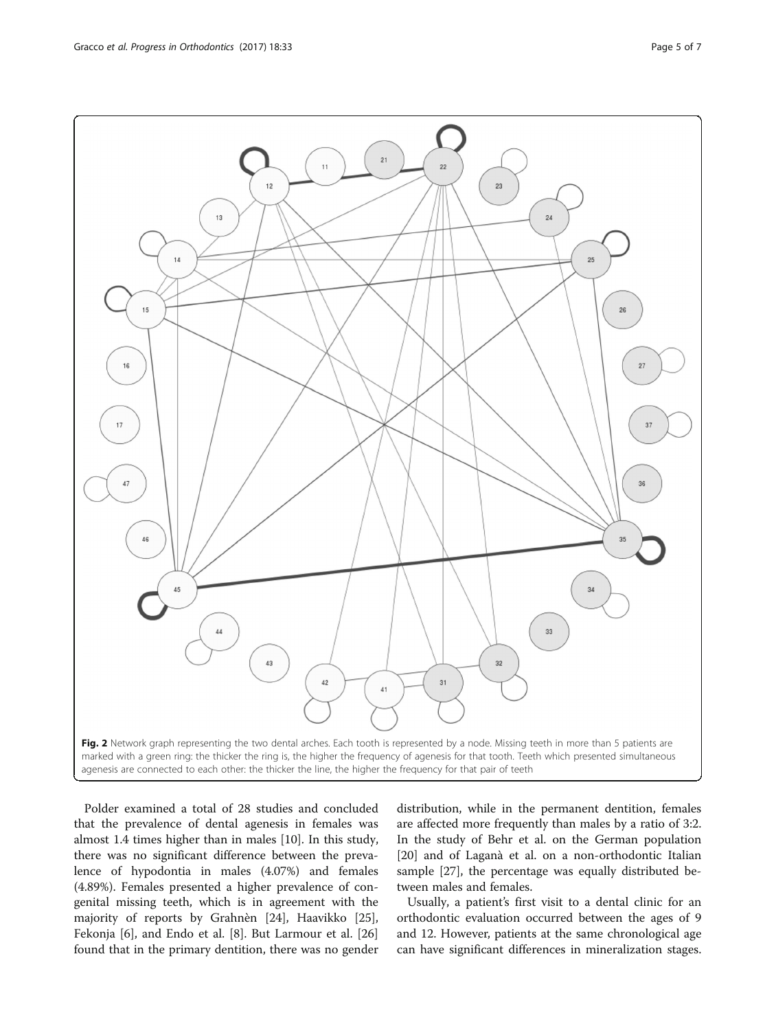$12$ 



<span id="page-4-0"></span>

Polder examined a total of 28 studies and concluded that the prevalence of dental agenesis in females was almost 1.4 times higher than in males [\[10](#page-6-0)]. In this study, there was no significant difference between the prevalence of hypodontia in males (4.07%) and females (4.89%). Females presented a higher prevalence of congenital missing teeth, which is in agreement with the majority of reports by Grahnèn [[24\]](#page-6-0), Haavikko [\[25](#page-6-0)], Fekonja [\[6](#page-6-0)], and Endo et al. [\[8](#page-6-0)]. But Larmour et al. [[26](#page-6-0)] found that in the primary dentition, there was no gender distribution, while in the permanent dentition, females are affected more frequently than males by a ratio of 3:2. In the study of Behr et al. on the German population [[20\]](#page-6-0) and of Laganà et al. on a non-orthodontic Italian sample [[27](#page-6-0)], the percentage was equally distributed between males and females.

Usually, a patient's first visit to a dental clinic for an orthodontic evaluation occurred between the ages of 9 and 12. However, patients at the same chronological age can have significant differences in mineralization stages.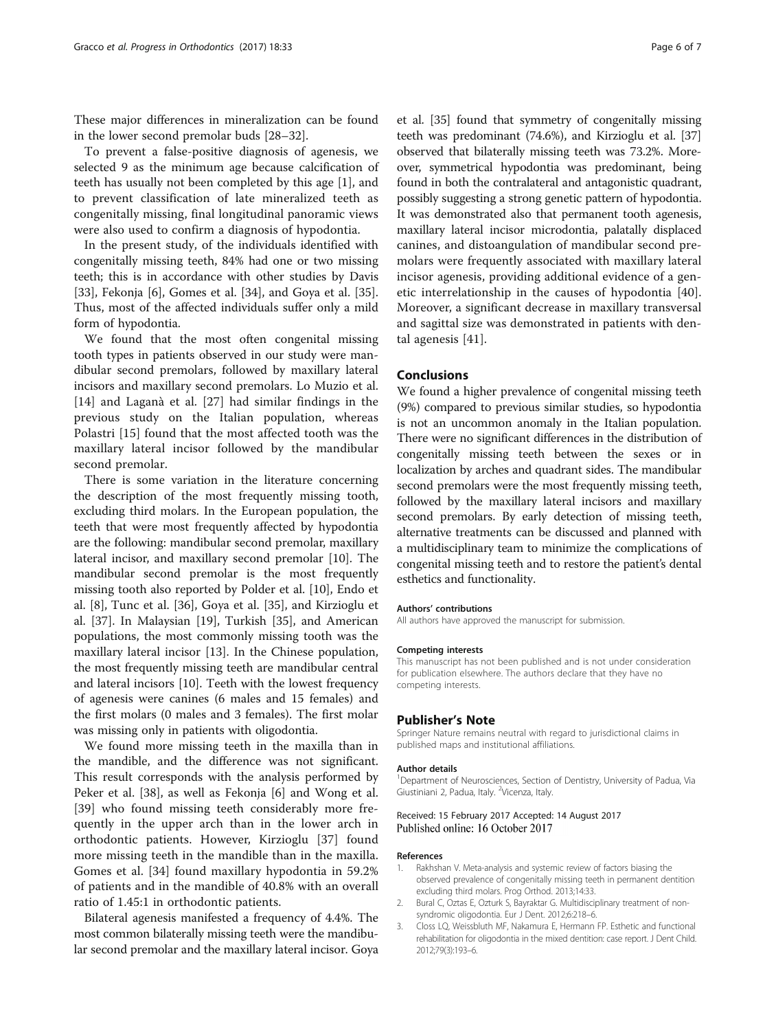<span id="page-5-0"></span>These major differences in mineralization can be found in the lower second premolar buds [\[28](#page-6-0)–[32\]](#page-6-0).

To prevent a false-positive diagnosis of agenesis, we selected 9 as the minimum age because calcification of teeth has usually not been completed by this age [1], and to prevent classification of late mineralized teeth as congenitally missing, final longitudinal panoramic views were also used to confirm a diagnosis of hypodontia.

In the present study, of the individuals identified with congenitally missing teeth, 84% had one or two missing teeth; this is in accordance with other studies by Davis [[33\]](#page-6-0), Fekonja [\[6](#page-6-0)], Gomes et al. [\[34\]](#page-6-0), and Goya et al. [\[35](#page-6-0)]. Thus, most of the affected individuals suffer only a mild form of hypodontia.

We found that the most often congenital missing tooth types in patients observed in our study were mandibular second premolars, followed by maxillary lateral incisors and maxillary second premolars. Lo Muzio et al. [[14\]](#page-6-0) and Laganà et al. [[27\]](#page-6-0) had similar findings in the previous study on the Italian population, whereas Polastri [[15\]](#page-6-0) found that the most affected tooth was the maxillary lateral incisor followed by the mandibular second premolar.

There is some variation in the literature concerning the description of the most frequently missing tooth, excluding third molars. In the European population, the teeth that were most frequently affected by hypodontia are the following: mandibular second premolar, maxillary lateral incisor, and maxillary second premolar [\[10](#page-6-0)]. The mandibular second premolar is the most frequently missing tooth also reported by Polder et al. [\[10](#page-6-0)], Endo et al. [\[8](#page-6-0)], Tunc et al. [[36](#page-6-0)], Goya et al. [[35\]](#page-6-0), and Kirzioglu et al. [\[37\]](#page-6-0). In Malaysian [[19\]](#page-6-0), Turkish [[35\]](#page-6-0), and American populations, the most commonly missing tooth was the maxillary lateral incisor [[13\]](#page-6-0). In the Chinese population, the most frequently missing teeth are mandibular central and lateral incisors [\[10\]](#page-6-0). Teeth with the lowest frequency of agenesis were canines (6 males and 15 females) and the first molars (0 males and 3 females). The first molar was missing only in patients with oligodontia.

We found more missing teeth in the maxilla than in the mandible, and the difference was not significant. This result corresponds with the analysis performed by Peker et al. [\[38](#page-6-0)], as well as Fekonja [\[6](#page-6-0)] and Wong et al. [[39\]](#page-6-0) who found missing teeth considerably more frequently in the upper arch than in the lower arch in orthodontic patients. However, Kirzioglu [[37\]](#page-6-0) found more missing teeth in the mandible than in the maxilla. Gomes et al. [\[34](#page-6-0)] found maxillary hypodontia in 59.2% of patients and in the mandible of 40.8% with an overall ratio of 1.45:1 in orthodontic patients.

Bilateral agenesis manifested a frequency of 4.4%. The most common bilaterally missing teeth were the mandibular second premolar and the maxillary lateral incisor. Goya

et al. [\[35\]](#page-6-0) found that symmetry of congenitally missing teeth was predominant (74.6%), and Kirzioglu et al. [[37](#page-6-0)] observed that bilaterally missing teeth was 73.2%. Moreover, symmetrical hypodontia was predominant, being found in both the contralateral and antagonistic quadrant, possibly suggesting a strong genetic pattern of hypodontia. It was demonstrated also that permanent tooth agenesis, maxillary lateral incisor microdontia, palatally displaced canines, and distoangulation of mandibular second premolars were frequently associated with maxillary lateral incisor agenesis, providing additional evidence of a genetic interrelationship in the causes of hypodontia [\[40](#page-6-0)]. Moreover, a significant decrease in maxillary transversal and sagittal size was demonstrated in patients with dental agenesis [\[41](#page-6-0)].

## Conclusions

We found a higher prevalence of congenital missing teeth (9%) compared to previous similar studies, so hypodontia is not an uncommon anomaly in the Italian population. There were no significant differences in the distribution of congenitally missing teeth between the sexes or in localization by arches and quadrant sides. The mandibular second premolars were the most frequently missing teeth, followed by the maxillary lateral incisors and maxillary second premolars. By early detection of missing teeth, alternative treatments can be discussed and planned with a multidisciplinary team to minimize the complications of congenital missing teeth and to restore the patient's dental esthetics and functionality.

#### Authors' contributions

All authors have approved the manuscript for submission.

#### Competing interests

This manuscript has not been published and is not under consideration for publication elsewhere. The authors declare that they have no competing interests.

### Publisher's Note

Springer Nature remains neutral with regard to jurisdictional claims in published maps and institutional affiliations.

#### Author details

<sup>1</sup>Department of Neurosciences, Section of Dentistry, University of Padua, Via Giustiniani 2, Padua, Italy. <sup>2</sup>Vicenza, Italy.

## Received: 15 February 2017 Accepted: 14 August 2017 Published online: 16 October 2017

#### References

- 1. Rakhshan V. Meta-analysis and systemic review of factors biasing the observed prevalence of congenitally missing teeth in permanent dentition excluding third molars. Prog Orthod. 2013;14:33.
- 2. Bural C, Oztas E, Ozturk S, Bayraktar G. Multidisciplinary treatment of nonsyndromic oligodontia. Eur J Dent. 2012;6:218–6.
- 3. Closs LQ, Weissbluth MF, Nakamura E, Hermann FP. Esthetic and functional rehabilitation for oligodontia in the mixed dentition: case report. J Dent Child. 2012;79(3):193–6.